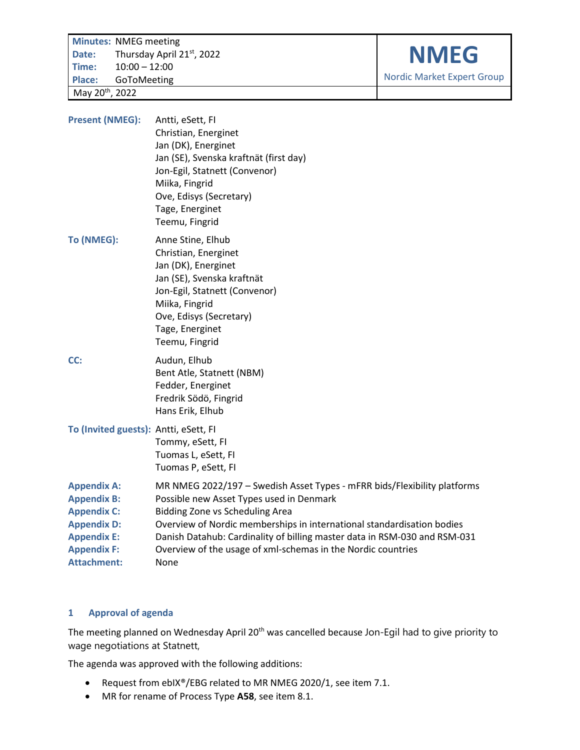**Minutes: NMEG meeting<br>Date:** Thursday April 2 **Date:** Thursday April 21st, 2022 **Time:** 10:00 – 12:00 **Place:** GoToMeeting May 20th , 2022

**NMEG**

Nordic Market Expert Group

| <b>Present (NMEG):</b>                                                                                                                                 | Antti, eSett, FI<br>Christian, Energinet<br>Jan (DK), Energinet<br>Jan (SE), Svenska kraftnät (first day)<br>Jon-Egil, Statnett (Convenor)<br>Miika, Fingrid<br>Ove, Edisys (Secretary)<br>Tage, Energinet<br>Teemu, Fingrid                                                                                                                                                                  |
|--------------------------------------------------------------------------------------------------------------------------------------------------------|-----------------------------------------------------------------------------------------------------------------------------------------------------------------------------------------------------------------------------------------------------------------------------------------------------------------------------------------------------------------------------------------------|
| To (NMEG):                                                                                                                                             | Anne Stine, Elhub<br>Christian, Energinet<br>Jan (DK), Energinet<br>Jan (SE), Svenska kraftnät<br>Jon-Egil, Statnett (Convenor)<br>Miika, Fingrid<br>Ove, Edisys (Secretary)<br>Tage, Energinet<br>Teemu, Fingrid                                                                                                                                                                             |
| CC:                                                                                                                                                    | Audun, Elhub<br>Bent Atle, Statnett (NBM)<br>Fedder, Energinet<br>Fredrik Södö, Fingrid<br>Hans Erik, Elhub                                                                                                                                                                                                                                                                                   |
| To (Invited guests): Antti, eSett, FI                                                                                                                  | Tommy, eSett, FI<br>Tuomas L, eSett, FI<br>Tuomas P, eSett, FI                                                                                                                                                                                                                                                                                                                                |
| <b>Appendix A:</b><br><b>Appendix B:</b><br><b>Appendix C:</b><br><b>Appendix D:</b><br><b>Appendix E:</b><br><b>Appendix F:</b><br><b>Attachment:</b> | MR NMEG 2022/197 - Swedish Asset Types - mFRR bids/Flexibility platforms<br>Possible new Asset Types used in Denmark<br><b>Bidding Zone vs Scheduling Area</b><br>Overview of Nordic memberships in international standardisation bodies<br>Danish Datahub: Cardinality of billing master data in RSM-030 and RSM-031<br>Overview of the usage of xml-schemas in the Nordic countries<br>None |

## **1 Approval of agenda**

The meeting planned on Wednesday April 20<sup>th</sup> was cancelled because Jon-Egil had to give priority to wage negotiations at Statnett,

The agenda was approved with the following additions:

- [Request from ebIX®/EBG related to MR NMEG 2020/1,](#page-2-0) see item [7.1.](#page-2-0)
- [MR for rename of Process Type](#page-3-0) **A58**, see item [8.1.](#page-3-0)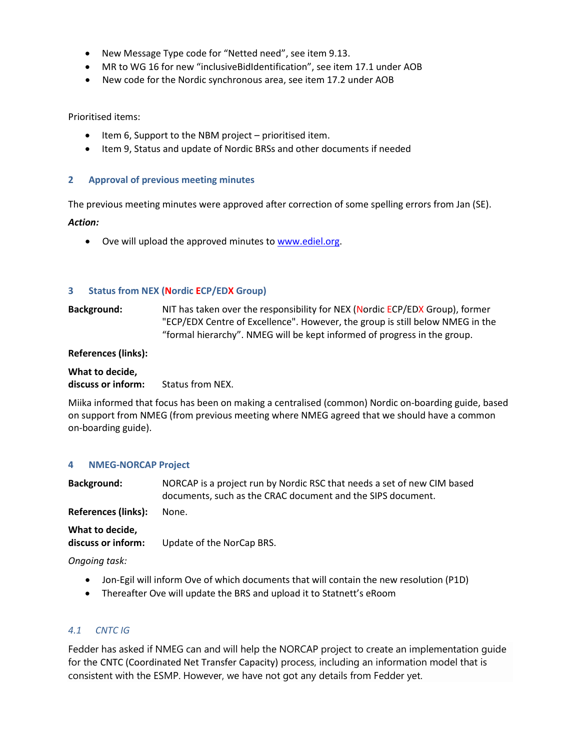- [New Message Type code for "Netted need"](#page-6-0), see ite[m 9.13.](#page-6-0)
- MR to WG 16 [for new "inclusiveBidIdentification"](#page-10-0), see item [17.1](#page-10-0) under [AOB](#page-10-1)
- [New code for the Nordic synchronous area,](#page-10-2) see item [17.2](#page-10-2) unde[r AOB](#page-10-1)

Prioritised items:

- Item [6, Support to the NBM project](#page-2-1) prioritised item.
- Item [9, Status and update of Nordic BRSs and other documents if needed](#page-3-1)

## **2 Approval of previous meeting minutes**

The previous meeting minutes were approved after correction of some spelling errors from Jan (SE).

#### *Action:*

• Ove will upload the approved minutes to [www.ediel.org.](http://www.ediel.org/)

#### **3 Status from NEX (Nordic ECP/EDX Group)**

**Background:** NIT has taken over the responsibility for NEX (Nordic ECP/EDX Group), former "ECP/EDX Centre of Excellence". However, the group is still below NMEG in the "formal hierarchy". NMEG will be kept informed of progress in the group.

#### **References (links):**

**What to decide, discuss or inform:** Status from NEX.

Miika informed that focus has been on making a centralised (common) Nordic on-boarding guide, based on support from NMEG (from previous meeting where NMEG agreed that we should have a common on-boarding guide).

#### **4 NMEG-NORCAP Project**

**Background:** NORCAP is a project run by Nordic RSC that needs a set of new CIM based documents, such as the CRAC document and the SIPS document.

**References (links):** None.

**What to decide,**

**discuss or inform:** Update of the NorCap BRS.

*Ongoing task:*

- Jon-Egil will inform Ove of which documents that will contain the new resolution (P1D)
- Thereafter Ove will update the BRS and upload it to Statnett's eRoom

## *4.1 CNTC IG*

Fedder has asked if NMEG can and will help the NORCAP project to create an implementation guide for the CNTC (Coordinated Net Transfer Capacity) process, including an information model that is consistent with the ESMP. However, we have not got any details from Fedder yet.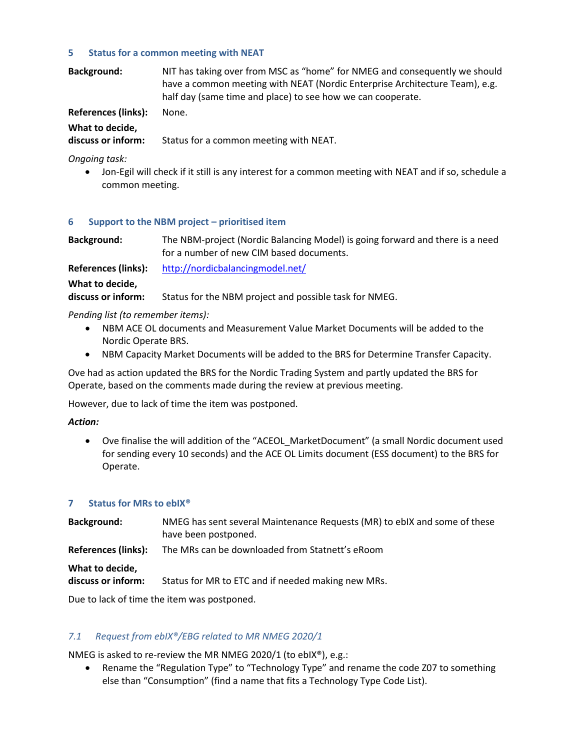## **5 Status for a common meeting with NEAT**

| <b>Background:</b> | NIT has taking over from MSC as "home" for NMEG and consequently we should  |
|--------------------|-----------------------------------------------------------------------------|
|                    | have a common meeting with NEAT (Nordic Enterprise Architecture Team), e.g. |
|                    | half day (same time and place) to see how we can cooperate.                 |

**References (links):** None.

**What to decide,**

**discuss or inform:** Status for a common meeting with NEAT.

*Ongoing task:*

• Jon-Egil will check if it still is any interest for a common meeting with NEAT and if so, schedule a common meeting.

#### <span id="page-2-1"></span>**6 Support to the NBM project – prioritised item**

**Background:** The NBM-project (Nordic Balancing Model) is going forward and there is a need for a number of new CIM based documents.

**References (links):** <http://nordicbalancingmodel.net/>

#### **What to decide,**

**discuss or inform:** Status for the NBM project and possible task for NMEG.

*Pending list (to remember items):*

- NBM ACE OL documents and Measurement Value Market Documents will be added to the Nordic Operate BRS.
- NBM Capacity Market Documents will be added to the BRS for Determine Transfer Capacity.

Ove had as action updated the BRS for the Nordic Trading System and partly updated the BRS for Operate, based on the comments made during the review at previous meeting.

However, due to lack of time the item was postponed.

## *Action:*

• Ove finalise the will addition of the "ACEOL\_MarketDocument" (a small Nordic document used for sending every 10 seconds) and the ACE OL Limits document (ESS document) to the BRS for Operate.

## **7 Status for MRs to ebIX®**

| Background:                           | NMEG has sent several Maintenance Requests (MR) to ebIX and some of these<br>have been postponed. |
|---------------------------------------|---------------------------------------------------------------------------------------------------|
| References (links):                   | The MRs can be downloaded from Statnett's eRoom                                                   |
| What to decide,<br>discuss or inform: | Status for MR to ETC and if needed making new MRs.                                                |

Due to lack of time the item was postponed.

## <span id="page-2-0"></span>*7.1 Request from ebIX®/EBG related to MR NMEG 2020/1*

NMEG is asked to re-review the MR NMEG 2020/1 (to ebIX®), e.g.:

• Rename the "Regulation Type" to "Technology Type" and rename the code Z07 to something else than "Consumption" (find a name that fits a Technology Type Code List).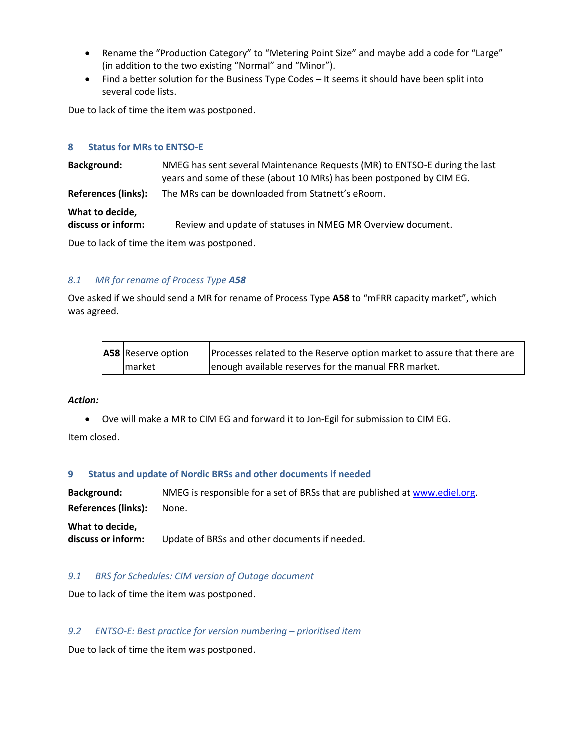- Rename the "Production Category" to "Metering Point Size" and maybe add a code for "Large" (in addition to the two existing "Normal" and "Minor").
- Find a better solution for the Business Type Codes It seems it should have been split into several code lists.

Due to lack of time the item was postponed.

#### **8 Status for MRs to ENTSO-E**

**Background:** NMEG has sent several Maintenance Requests (MR) to ENTSO-E during the last years and some of these (about 10 MRs) has been postponed by CIM EG. **References (links):** The MRs can be downloaded from Statnett's eRoom. **What to decide, discuss or inform:** Review and update of statuses in NMEG MR Overview document.

Due to lack of time the item was postponed.

## <span id="page-3-0"></span>*8.1 MR for rename of Process Type A58*

Ove asked if we should send a MR for rename of Process Type **A58** to "mFRR capacity market", which was agreed.

| A58 Reserve option | Processes related to the Reserve option market to assure that there are |
|--------------------|-------------------------------------------------------------------------|
| market             | enough available reserves for the manual FRR market.                    |

## *Action:*

• Ove will make a MR to CIM EG and forward it to Jon-Egil for submission to CIM EG.

Item closed.

#### <span id="page-3-1"></span>**9 Status and update of Nordic BRSs and other documents if needed**

**Background:** NMEG is responsible for a set of BRSs that are published at [www.ediel.org.](http://www.ediel.org/) **References (links):** None. **What to decide,**

**discuss or inform:** Update of BRSs and other documents if needed.

## *9.1 BRS for Schedules: CIM version of Outage document*

Due to lack of time the item was postponed.

## *9.2 ENTSO-E: Best practice for version numbering – prioritised item*

Due to lack of time the item was postponed.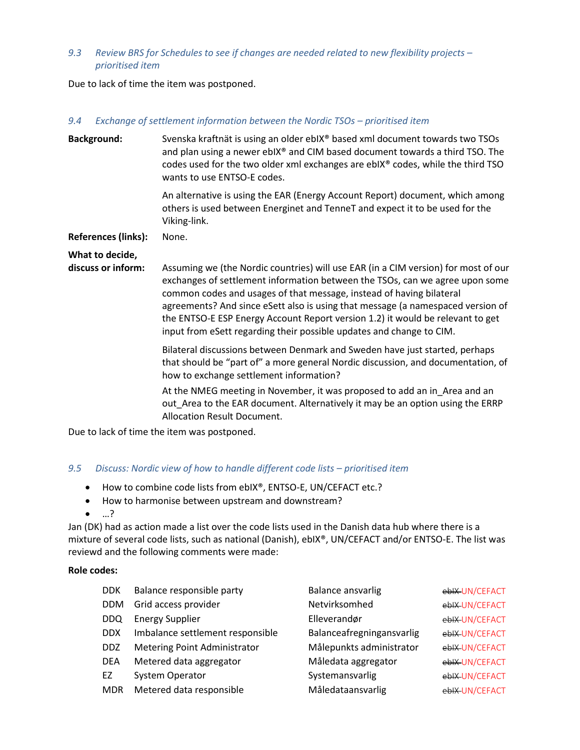## *9.3 Review BRS for Schedules to see if changes are needed related to new flexibility projects – prioritised item*

Due to lack of time the item was postponed.

#### *9.4 Exchange of settlement information between the Nordic TSOs – prioritised item*

| <b>Background:</b>                    | Svenska kraftnät is using an older ebIX® based xml document towards two TSOs<br>and plan using a newer ebIX® and CIM based document towards a third TSO. The<br>codes used for the two older xml exchanges are ebIX® codes, while the third TSO<br>wants to use ENTSO-E codes.                                                                                                                                                                                                          |
|---------------------------------------|-----------------------------------------------------------------------------------------------------------------------------------------------------------------------------------------------------------------------------------------------------------------------------------------------------------------------------------------------------------------------------------------------------------------------------------------------------------------------------------------|
|                                       | An alternative is using the EAR (Energy Account Report) document, which among<br>others is used between Energinet and TenneT and expect it to be used for the<br>Viking-link.                                                                                                                                                                                                                                                                                                           |
| <b>References (links):</b>            | None.                                                                                                                                                                                                                                                                                                                                                                                                                                                                                   |
| What to decide,<br>discuss or inform: | Assuming we (the Nordic countries) will use EAR (in a CIM version) for most of our<br>exchanges of settlement information between the TSOs, can we agree upon some<br>common codes and usages of that message, instead of having bilateral<br>agreements? And since eSett also is using that message (a namespaced version of<br>the ENTSO-E ESP Energy Account Report version 1.2) it would be relevant to get<br>input from eSett regarding their possible updates and change to CIM. |
|                                       | Bilateral discussions between Denmark and Sweden have just started, perhaps<br>that should be "part of" a more general Nordic discussion, and documentation, of<br>how to exchange settlement information?                                                                                                                                                                                                                                                                              |
|                                       | At the NMEG meeting in November, it was proposed to add an in_Area and an<br>out Area to the EAR document. Alternatively it may be an option using the ERRP<br>Allocation Result Document.                                                                                                                                                                                                                                                                                              |

Due to lack of time the item was postponed.

## 9.5 *Discuss: Nordic view of how to handle different code lists – prioritised item*

- How to combine code lists from ebIX®, ENTSO-E, UN/CEFACT etc.?
- How to harmonise between upstream and downstream?
- …?

Jan (DK) had as action made a list over the code lists used in the Danish data hub where there is a mixture of several code lists, such as national (Danish), ebIX®, UN/CEFACT and/or ENTSO-E. The list was reviewd and the following comments were made:

#### **Role codes:**

| <b>DDK</b> | Balance responsible party           | <b>Balance ansvarlig</b>  | ebIX UN/CEFACT |
|------------|-------------------------------------|---------------------------|----------------|
| <b>DDM</b> | Grid access provider                | Netvirksomhed             | ebIX UN/CEFACT |
| DDQ        | <b>Energy Supplier</b>              | Elleverandør              | ebIX UN/CEFACT |
| <b>DDX</b> | Imbalance settlement responsible    | Balanceafregningansvarlig | ebIX UN/CEFACT |
| <b>DDZ</b> | <b>Metering Point Administrator</b> | Målepunkts administrator  | ebIX UN/CEFACT |
| <b>DEA</b> | Metered data aggregator             | Måledata aggregator       | ebIX UN/CEFACT |
| EZ         | <b>System Operator</b>              | Systemansvarlig           | ebIX UN/CEFACT |
| <b>MDR</b> | Metered data responsible            | Måledataansvarlig         | ebIX UN/CEFACT |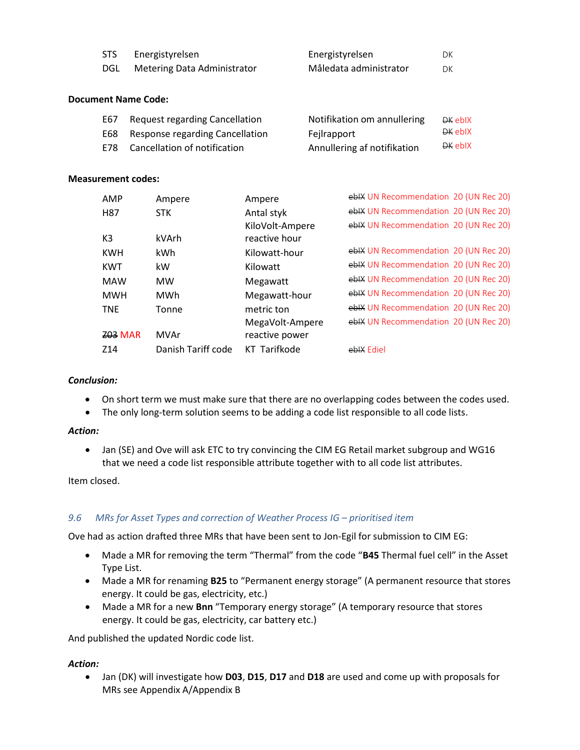| <b>STS</b> | Energistyrelsen             | Energistyrelsen        |    |
|------------|-----------------------------|------------------------|----|
| DGL        | Metering Data Administrator | Måledata administrator | DK |

### **Document Name Code:**

| E67   | <b>Request regarding Cancellation</b> | Notifikation om annullering | DK eblX |
|-------|---------------------------------------|-----------------------------|---------|
|       | E68 Response regarding Cancellation   | Fejlrapport                 | DK eblX |
| E78 - | Cancellation of notification          | Annullering af notifikation | DK eblX |

#### **Measurement codes:**

| AMP            | Ampere             | Ampere          | eblX UN Recommendation 20 (UN Rec 20) |  |
|----------------|--------------------|-----------------|---------------------------------------|--|
| H87            | <b>STK</b>         | Antal styk      | eblX UN Recommendation 20 (UN Rec 20) |  |
|                |                    | KiloVolt-Ampere | eblX UN Recommendation 20 (UN Rec 20) |  |
| K3             | kVArh              | reactive hour   |                                       |  |
| <b>KWH</b>     | kWh                | Kilowatt-hour   | eblX UN Recommendation 20 (UN Rec 20) |  |
| KWT            | kW.                | Kilowatt        | ebIX UN Recommendation 20 (UN Rec 20) |  |
| <b>MAW</b>     | <b>MW</b>          | Megawatt        | eblX UN Recommendation 20 (UN Rec 20) |  |
| <b>MWH</b>     | MWh                | Megawatt-hour   | ebIX UN Recommendation 20 (UN Rec 20) |  |
| <b>TNE</b>     | Tonne              | metric ton      | eblX UN Recommendation 20 (UN Rec 20) |  |
|                |                    | MegaVolt-Ampere | eblX UN Recommendation 20 (UN Rec 20) |  |
| <b>Z03 MAR</b> | MVAr               | reactive power  |                                       |  |
| Z14            | Danish Tariff code | KT Tarifkode    | eblX Ediel                            |  |

## *Conclusion:*

- On short term we must make sure that there are no overlapping codes between the codes used.
- The only long-term solution seems to be adding a code list responsible to all code lists.

#### *Action:*

• Jan (SE) and Ove will ask ETC to try convincing the CIM EG Retail market subgroup and WG16 that we need a code list responsible attribute together with to all code list attributes.

Item closed.

## 9.6 MRs for Asset Types and correction of Weather Process IG – prioritised item

Ove had as action drafted three MRs that have been sent to Jon-Egil for submission to CIM EG:

- Made a MR for removing the term "Thermal" from the code "**B45** Thermal fuel cell" in the Asset Type List.
- Made a MR for renaming **B25** to "Permanent energy storage" (A permanent resource that stores energy. It could be gas, electricity, etc.)
- Made a MR for a new **Bnn** "Temporary energy storage" (A temporary resource that stores energy. It could be gas, electricity, car battery etc.)

And published the updated Nordic code list.

## *Action:*

• Jan (DK) will investigate how **D03**, **D15**, **D17** and **D18** are used and come up with proposals for MRs see [Appendix A](#page-11-0)[/Appendix B](#page-13-0)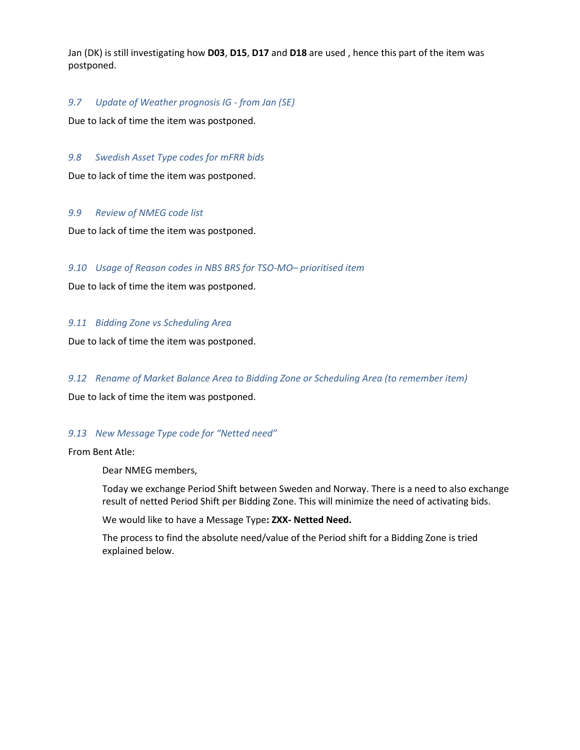Jan (DK) is still investigating how **D03**, **D15**, **D17** and **D18** are used , hence this part of the item was postponed.

## *9.7 Update of Weather prognosis IG - from Jan (SE)*

Due to lack of time the item was postponed.

#### *9.8 Swedish Asset Type codes for mFRR bids*

Due to lack of time the item was postponed.

#### *9.9 Review of NMEG code list*

Due to lack of time the item was postponed.

## *9.10 Usage of Reason codes in NBS BRS for TSO-MO– prioritised item*

Due to lack of time the item was postponed.

#### *9.11 Bidding Zone vs Scheduling Area*

Due to lack of time the item was postponed.

## *9.12 Rename of Market Balance Area to Bidding Zone or Scheduling Area (to remember item)*

Due to lack of time the item was postponed.

## <span id="page-6-0"></span>*9.13 New Message Type code for "Netted need"*

From Bent Atle:

Dear NMEG members,

Today we exchange Period Shift between Sweden and Norway. There is a need to also exchange result of netted Period Shift per Bidding Zone. This will minimize the need of activating bids.

We would like to have a Message Type**: ZXX- Netted Need.**

The process to find the absolute need/value of the Period shift for a Bidding Zone is tried explained below.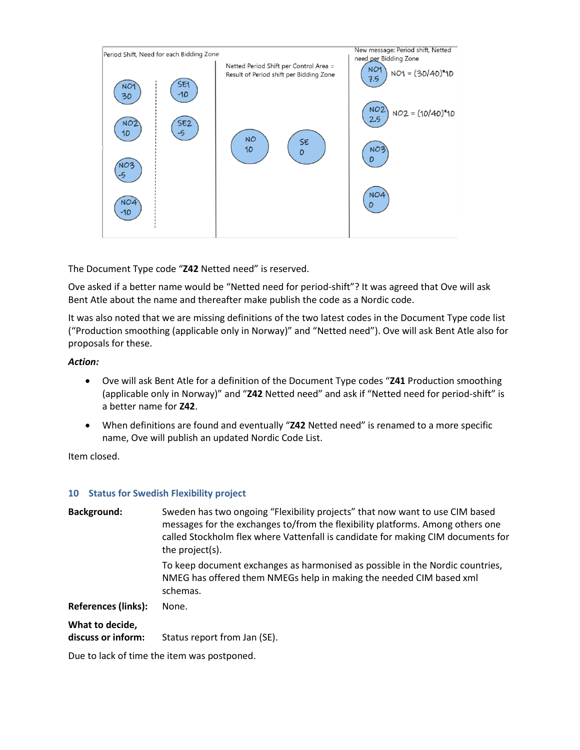

The Document Type code "**Z42** Netted need" is reserved.

Ove asked if a better name would be "Netted need for period-shift"? It was agreed that Ove will ask Bent Atle about the name and thereafter make publish the code as a Nordic code.

It was also noted that we are missing definitions of the two latest codes in the Document Type code list ("Production smoothing (applicable only in Norway)" and "Netted need"). Ove will ask Bent Atle also for proposals for these.

#### *Action:*

- Ove will ask Bent Atle for a definition of the Document Type codes "**Z41** Production smoothing (applicable only in Norway)" and "**Z42** Netted need" and ask if "Netted need for period-shift" is a better name for **Z42**.
- When definitions are found and eventually "**Z42** Netted need" is renamed to a more specific name, Ove will publish an updated Nordic Code List.

Item closed.

#### **10 Status for Swedish Flexibility project**

| <b>Background:</b>                    | Sweden has two ongoing "Flexibility projects" that now want to use CIM based<br>messages for the exchanges to/from the flexibility platforms. Among others one<br>called Stockholm flex where Vattenfall is candidate for making CIM documents for<br>the project(s). |
|---------------------------------------|-----------------------------------------------------------------------------------------------------------------------------------------------------------------------------------------------------------------------------------------------------------------------|
|                                       | To keep document exchanges as harmonised as possible in the Nordic countries,<br>NMEG has offered them NMEGs help in making the needed CIM based xml<br>schemas.                                                                                                      |
| <b>References (links):</b>            | None.                                                                                                                                                                                                                                                                 |
| What to decide,<br>discuss or inform: | Status report from Jan (SE).                                                                                                                                                                                                                                          |

Due to lack of time the item was postponed.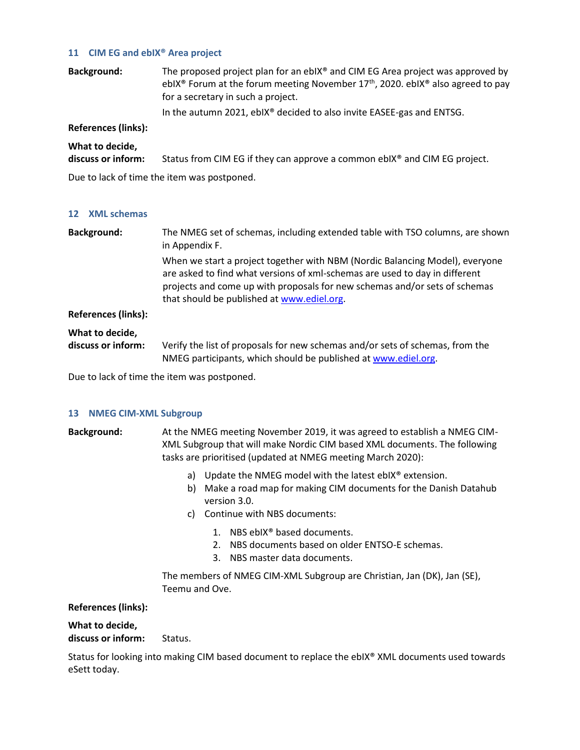#### **11 CIM EG and ebIX® Area project**

**Background:** The proposed project plan for an ebIX® and CIM EG Area project was approved by ebIX<sup>®</sup> Forum at the forum meeting November  $17<sup>th</sup>$ , 2020. ebIX<sup>®</sup> also agreed to pay for a secretary in such a project. In the autumn 2021, ebIX® decided to also invite EASEE-gas and ENTSG.

## **References (links):**

| What to decide,    |                                                                                       |
|--------------------|---------------------------------------------------------------------------------------|
| discuss or inform: | Status from CIM EG if they can approve a common ebIX <sup>®</sup> and CIM EG project. |

Due to lack of time the item was postponed.

#### **12 XML schemas**

| <b>Background:</b>         | The NMEG set of schemas, including extended table with TSO columns, are shown<br>in Appendix F.                                                                                                                                                                                         |
|----------------------------|-----------------------------------------------------------------------------------------------------------------------------------------------------------------------------------------------------------------------------------------------------------------------------------------|
|                            | When we start a project together with NBM (Nordic Balancing Model), everyone<br>are asked to find what versions of xml-schemas are used to day in different<br>projects and come up with proposals for new schemas and/or sets of schemas<br>that should be published at www.ediel.org. |
| <b>References (links):</b> |                                                                                                                                                                                                                                                                                         |
| What to decide,            |                                                                                                                                                                                                                                                                                         |
| discuss or inform:         | Verify the list of proposals for new schemas and/or sets of schemas, from the<br>NMEG participants, which should be published at www.ediel.org.                                                                                                                                         |

Due to lack of time the item was postponed.

## **13 NMEG CIM-XML Subgroup**

**Background:** At the NMEG meeting November 2019, it was agreed to establish a NMEG CIM-XML Subgroup that will make Nordic CIM based XML documents. The following tasks are prioritised (updated at NMEG meeting March 2020):

- a) Update the NMEG model with the latest ebIX® extension.
- b) Make a road map for making CIM documents for the Danish Datahub version 3.0.
- c) Continue with NBS documents:
	- 1. NBS ebIX® based documents.
	- 2. NBS documents based on older ENTSO-E schemas.
	- 3. NBS master data documents.

The members of NMEG CIM-XML Subgroup are Christian, Jan (DK), Jan (SE), Teemu and Ove.

## **References (links):**

### **What to decide, discuss or inform:** Status.

Status for looking into making CIM based document to replace the ebIX® XML documents used towards eSett today.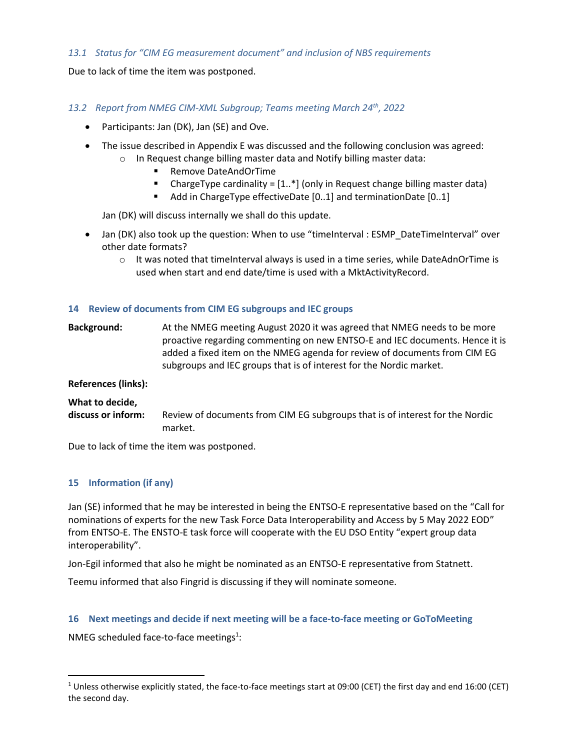## *13.1 Status for "CIM EG measurement document" and inclusion of NBS requirements*

Due to lack of time the item was postponed.

## *13.2 Report from NMEG CIM-XML Subgroup; Teams meeting March 24th, 2022*

- Participants: Jan (DK), Jan (SE) and Ove.
- The issue described i[n Appendix E](#page-17-0) was discussed and the following conclusion was agreed:
	- o In Request change billing master data and Notify billing master data:
		- Remove DateAndOrTime
		- **•** ChargeType cardinality =  $[1..*]$  (only in Request change billing master data)
		- Add in ChargeType effectiveDate [0..1] and terminationDate [0..1]

Jan (DK) will discuss internally we shall do this update.

- Jan (DK) also took up the question: When to use "timeInterval : ESMP\_DateTimeInterval" over other date formats?
	- $\circ$  It was noted that timeInterval always is used in a time series, while DateAdnOrTime is used when start and end date/time is used with a MktActivityRecord.

## **14 Review of documents from CIM EG subgroups and IEC groups**

**Background:** At the NMEG meeting August 2020 it was agreed that NMEG needs to be more proactive regarding commenting on new ENTSO-E and IEC documents. Hence it is added a fixed item on the NMEG agenda for review of documents from CIM EG subgroups and IEC groups that is of interest for the Nordic market.

## **References (links):**

## **What to decide,**

**discuss or inform:** Review of documents from CIM EG subgroups that is of interest for the Nordic market.

Due to lack of time the item was postponed.

## **15 Information (if any)**

Jan (SE) informed that he may be interested in being the ENTSO-E representative based on the "Call for nominations of experts for the new Task Force Data Interoperability and Access by 5 May 2022 EOD" from ENTSO-E. The ENSTO-E task force will cooperate with the EU DSO Entity "expert group data interoperability".

Jon-Egil informed that also he might be nominated as an ENTSO-E representative from Statnett.

Teemu informed that also Fingrid is discussing if they will nominate someone.

## **16 Next meetings and decide if next meeting will be a face-to-face meeting or GoToMeeting**

NMEG scheduled face-to-face meetings<sup>1</sup>:

<sup>1</sup> Unless otherwise explicitly stated, the face-to-face meetings start at 09:00 (CET) the first day and end 16:00 (CET) the second day.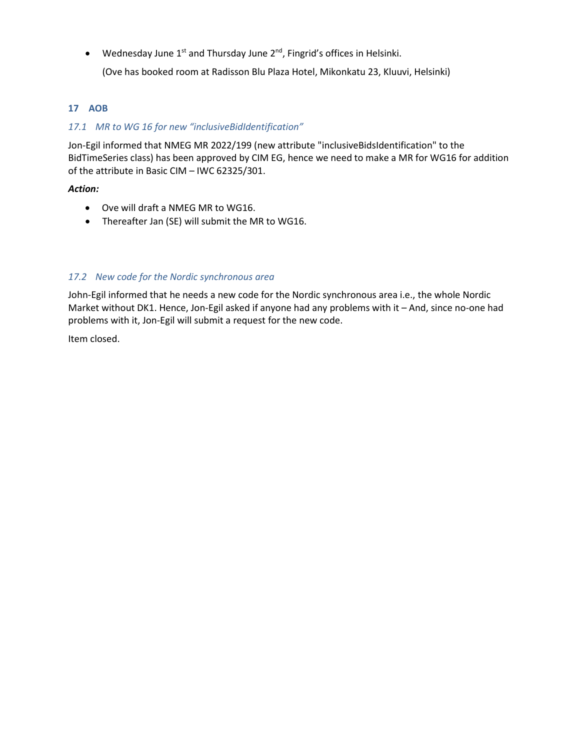• Wednesday June 1<sup>st</sup> and Thursday June 2<sup>nd</sup>, Fingrid's offices in Helsinki.

(Ove has booked room at Radisson Blu Plaza Hotel, Mikonkatu 23, Kluuvi, Helsinki)

## <span id="page-10-1"></span>**17 AOB**

## <span id="page-10-0"></span>*17.1 MR to WG 16 for new "inclusiveBidIdentification"*

Jon-Egil informed that NMEG MR 2022/199 (new attribute "inclusiveBidsIdentification" to the BidTimeSeries class) has been approved by CIM EG, hence we need to make a MR for WG16 for addition of the attribute in Basic CIM – IWC 62325/301.

## *Action:*

- Ove will draft a NMEG MR to WG16.
- Thereafter Jan (SE) will submit the MR to WG16.

## <span id="page-10-2"></span>*17.2 New code for the Nordic synchronous area*

John-Egil informed that he needs a new code for the Nordic synchronous area i.e., the whole Nordic Market without DK1. Hence, Jon-Egil asked if anyone had any problems with it – And, since no-one had problems with it, Jon-Egil will submit a request for the new code.

Item closed.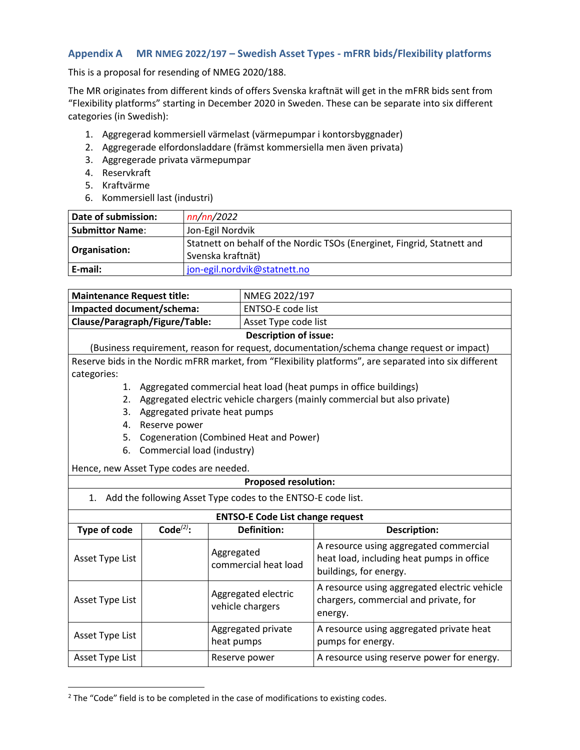## <span id="page-11-0"></span>**Appendix A MR NMEG 2022/197 – Swedish Asset Types - mFRR bids/Flexibility platforms**

This is a proposal for resending of NMEG 2020/188.

The MR originates from different kinds of offers Svenska kraftnät will get in the mFRR bids sent from "Flexibility platforms" starting in December 2020 in Sweden. These can be separate into six different categories (in Swedish):

- 1. Aggregerad kommersiell värmelast (värmepumpar i kontorsbyggnader)
- 2. Aggregerade elfordonsladdare (främst kommersiella men även privata)
- 3. Aggregerade privata värmepumpar
- 4. Reservkraft
- 5. Kraftvärme
- 6. Kommersiell last (industri)

| Date of submission: | nn/nn/2022                                                                                   |
|---------------------|----------------------------------------------------------------------------------------------|
| Submittor Name:     | Jon-Egil Nordvik                                                                             |
| Organisation:       | Statnett on behalf of the Nordic TSOs (Energinet, Fingrid, Statnett and<br>Svenska kraftnät) |
| E-mail:             | jon-egil.nordvik@statnett.no                                                                 |

| Maintenance Request title:     | NMEG 2022/197                |
|--------------------------------|------------------------------|
| Impacted document/schema:      | ENTSO-E code list            |
| Clause/Paragraph/Figure/Table: | Asset Type code list         |
|                                | <b>Description of issue:</b> |

(Business requirement, reason for request, documentation/schema change request or impact) Reserve bids in the Nordic mFRR market, from "Flexibility platforms", are separated into six different categories:

- 1. Aggregated commercial heat load (heat pumps in office buildings)
- 2. Aggregated electric vehicle chargers (mainly commercial but also private)
- 3. Aggregated private heat pumps
- 4. Reserve power
- 5. Cogeneration (Combined Heat and Power)
- 6. Commercial load (industry)

Hence, new Asset Type codes are needed.

## **Proposed resolution:**

|  | 1. Add the following Asset Type codes to the ENTSO-E code list. |
|--|-----------------------------------------------------------------|
|--|-----------------------------------------------------------------|

## **ENTSO-E Code List change request**

| <b>EIVISO-L COUPLIST CHAIRE FEQUEST</b>                                               |  |                                         |                                                                                                               |  |  |  |  |
|---------------------------------------------------------------------------------------|--|-----------------------------------------|---------------------------------------------------------------------------------------------------------------|--|--|--|--|
| Code $(2)$ :<br>Type of code<br>Asset Type List<br>Asset Type List<br>Asset Type List |  | <b>Definition:</b>                      | <b>Description:</b>                                                                                           |  |  |  |  |
|                                                                                       |  | Aggregated<br>commercial heat load      | A resource using aggregated commercial<br>heat load, including heat pumps in office<br>buildings, for energy. |  |  |  |  |
|                                                                                       |  | Aggregated electric<br>vehicle chargers | A resource using aggregated electric vehicle<br>chargers, commercial and private, for<br>energy.              |  |  |  |  |
|                                                                                       |  | Aggregated private<br>heat pumps        | A resource using aggregated private heat<br>pumps for energy.                                                 |  |  |  |  |
| Asset Type List                                                                       |  | Reserve power                           | A resource using reserve power for energy.                                                                    |  |  |  |  |

<sup>&</sup>lt;sup>2</sup> The "Code" field is to be completed in the case of modifications to existing codes.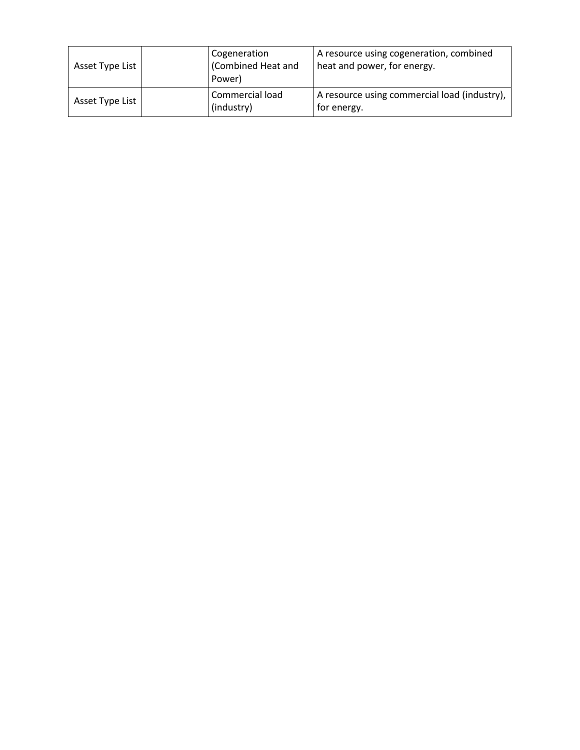| Asset Type List |  | Cogeneration<br>(Combined Heat and<br>Power) | A resource using cogeneration, combined<br>heat and power, for energy. |
|-----------------|--|----------------------------------------------|------------------------------------------------------------------------|
| Asset Type List |  | Commercial load<br>(industry)                | A resource using commercial load (industry),<br>for energy.            |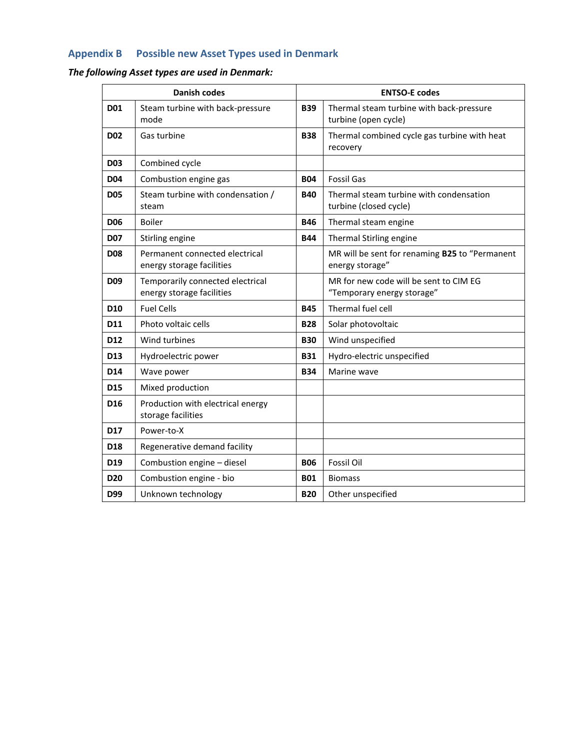## <span id="page-13-0"></span>**Appendix B Possible new Asset Types used in Denmark**

## *The following Asset types are used in Denmark:*

|                 | <b>Danish codes</b><br><b>ENTSO-E codes</b>                   |                                                                                |                                                                      |  |
|-----------------|---------------------------------------------------------------|--------------------------------------------------------------------------------|----------------------------------------------------------------------|--|
| <b>D01</b>      | Steam turbine with back-pressure<br>mode                      | <b>B39</b><br>Thermal steam turbine with back-pressure<br>turbine (open cycle) |                                                                      |  |
| <b>D02</b>      | Gas turbine                                                   | <b>B38</b><br>Thermal combined cycle gas turbine with heat<br>recovery         |                                                                      |  |
| <b>D03</b>      | Combined cycle                                                |                                                                                |                                                                      |  |
| D <sub>04</sub> | Combustion engine gas                                         | <b>B04</b>                                                                     | <b>Fossil Gas</b>                                                    |  |
| <b>D05</b>      | Steam turbine with condensation /<br>steam                    | <b>B40</b>                                                                     | Thermal steam turbine with condensation<br>turbine (closed cycle)    |  |
| <b>D06</b>      | <b>Boiler</b>                                                 | <b>B46</b>                                                                     | Thermal steam engine                                                 |  |
| <b>D07</b>      | Stirling engine                                               | <b>B44</b>                                                                     | Thermal Stirling engine                                              |  |
| <b>D08</b>      | Permanent connected electrical<br>energy storage facilities   |                                                                                | MR will be sent for renaming B25 to "Permanent<br>energy storage"    |  |
| D <sub>09</sub> | Temporarily connected electrical<br>energy storage facilities |                                                                                | MR for new code will be sent to CIM EG<br>"Temporary energy storage" |  |
| D <sub>10</sub> | <b>Fuel Cells</b>                                             | <b>B45</b>                                                                     | Thermal fuel cell                                                    |  |
| D11             | Photo voltaic cells                                           | <b>B28</b>                                                                     | Solar photovoltaic                                                   |  |
| D <sub>12</sub> | Wind turbines                                                 | <b>B30</b>                                                                     | Wind unspecified                                                     |  |
| D <sub>13</sub> | Hydroelectric power                                           | <b>B31</b>                                                                     | Hydro-electric unspecified                                           |  |
| D14             | Wave power                                                    | <b>B34</b>                                                                     | Marine wave                                                          |  |
| D <sub>15</sub> | Mixed production                                              |                                                                                |                                                                      |  |
| D <sub>16</sub> | Production with electrical energy<br>storage facilities       |                                                                                |                                                                      |  |
| <b>D17</b>      | Power-to-X                                                    |                                                                                |                                                                      |  |
| D <sub>18</sub> | Regenerative demand facility                                  |                                                                                |                                                                      |  |
| D <sub>19</sub> | Combustion engine - diesel                                    | <b>B06</b>                                                                     | <b>Fossil Oil</b>                                                    |  |
| D <sub>20</sub> | Combustion engine - bio                                       | <b>B01</b>                                                                     | <b>Biomass</b>                                                       |  |
| D99             | Unknown technology                                            | <b>B20</b>                                                                     | Other unspecified                                                    |  |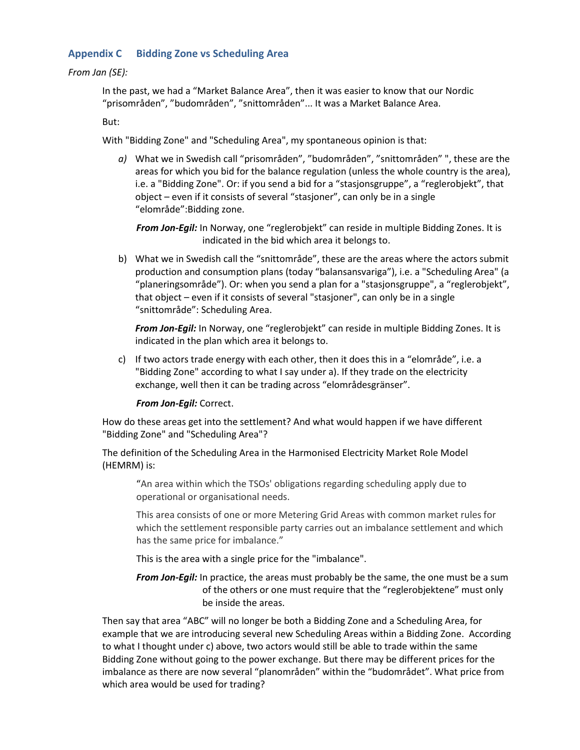## <span id="page-14-0"></span>**Appendix C Bidding Zone vs Scheduling Area**

#### *From Jan (SE):*

In the past, we had a "Market Balance Area", then it was easier to know that our Nordic "prisområden", "budområden", "snittområden"... It was a Market Balance Area.

But:

With "Bidding Zone" and "Scheduling Area", my spontaneous opinion is that:

*a)* What we in Swedish call "prisområden", "budområden", "snittområden" ", these are the areas for which you bid for the balance regulation (unless the whole country is the area), i.e. a "Bidding Zone". Or: if you send a bid for a "stasjonsgruppe", a "reglerobjekt", that object – even if it consists of several "stasjoner", can only be in a single "elområde":Bidding zone.

*From Jon-Egil:* In Norway, one "reglerobjekt" can reside in multiple Bidding Zones. It is indicated in the bid which area it belongs to.

b) What we in Swedish call the "snittområde", these are the areas where the actors submit production and consumption plans (today "balansansvariga"), i.e. a "Scheduling Area" (a "planeringsområde"). Or: when you send a plan for a "stasjonsgruppe", a "reglerobjekt", that object – even if it consists of several "stasjoner", can only be in a single "snittområde": Scheduling Area.

*From Jon-Egil:* In Norway, one "reglerobjekt" can reside in multiple Bidding Zones. It is indicated in the plan which area it belongs to.

c) If two actors trade energy with each other, then it does this in a "elområde", i.e. a "Bidding Zone" according to what I say under a). If they trade on the electricity exchange, well then it can be trading across "elområdesgränser".

*From Jon-Egil:* Correct.

How do these areas get into the settlement? And what would happen if we have different "Bidding Zone" and "Scheduling Area"?

The definition of the Scheduling Area in the Harmonised Electricity Market Role Model (HEMRM) is:

"An area within which the TSOs' obligations regarding scheduling apply due to operational or organisational needs.

This area consists of one or more Metering Grid Areas with common market rules for which the settlement responsible party carries out an imbalance settlement and which has the same price for imbalance."

This is the area with a single price for the "imbalance".

*From Jon-Egil:* In practice, the areas must probably be the same, the one must be a sum of the others or one must require that the "reglerobjektene" must only be inside the areas.

Then say that area "ABC" will no longer be both a Bidding Zone and a Scheduling Area, for example that we are introducing several new Scheduling Areas within a Bidding Zone. According to what I thought under c) above, two actors would still be able to trade within the same Bidding Zone without going to the power exchange. But there may be different prices for the imbalance as there are now several "planområden" within the "budområdet". What price from which area would be used for trading?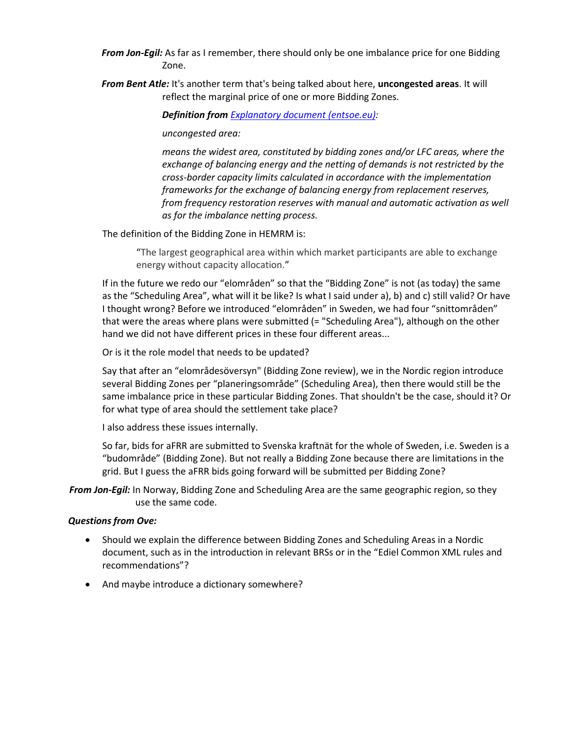- *From Jon-Egil:* As far as I remember, there should only be one imbalance price for one Bidding Zone.
- *From Bent Atle:* It's another term that's being talked about here, **uncongested areas**. It will reflect the marginal price of one or more Bidding Zones.

*Definition from [Explanatory document \(entsoe.eu\):](https://eepublicdownloads.entsoe.eu/clean-documents/nc-tasks/EBGL/EBGL_A30.1%20and%2030.3_181218_ALL%20TSOs%20proposal_Pricing_proposal_explanatory_document_for%20submission.pdf?Web=0)* 

#### *uncongested area:*

*means the widest area, constituted by bidding zones and/or LFC areas, where the exchange of balancing energy and the netting of demands is not restricted by the cross-border capacity limits calculated in accordance with the implementation frameworks for the exchange of balancing energy from replacement reserves, from frequency restoration reserves with manual and automatic activation as well as for the imbalance netting process.*

The definition of the Bidding Zone in HEMRM is:

"The largest geographical area within which market participants are able to exchange energy without capacity allocation."

If in the future we redo our "elområden" so that the "Bidding Zone" is not (as today) the same as the "Scheduling Area", what will it be like? Is what I said under a), b) and c) still valid? Or have I thought wrong? Before we introduced "elområden" in Sweden, we had four "snittområden" that were the areas where plans were submitted (= "Scheduling Area"), although on the other hand we did not have different prices in these four different areas...

Or is it the role model that needs to be updated?

Say that after an "elområdesöversyn" (Bidding Zone review), we in the Nordic region introduce several Bidding Zones per "planeringsområde" (Scheduling Area), then there would still be the same imbalance price in these particular Bidding Zones. That shouldn't be the case, should it? Or for what type of area should the settlement take place?

I also address these issues internally.

So far, bids for aFRR are submitted to Svenska kraftnät for the whole of Sweden, i.e. Sweden is a "budområde" (Bidding Zone). But not really a Bidding Zone because there are limitations in the grid. But I guess the aFRR bids going forward will be submitted per Bidding Zone?

*From Jon-Egil:* In Norway, Bidding Zone and Scheduling Area are the same geographic region, so they use the same code.

#### *Questions from Ove:*

- Should we explain the difference between Bidding Zones and Scheduling Areas in a Nordic document, such as in the introduction in relevant BRSs or in the "Ediel Common XML rules and recommendations"?
- And maybe introduce a dictionary somewhere?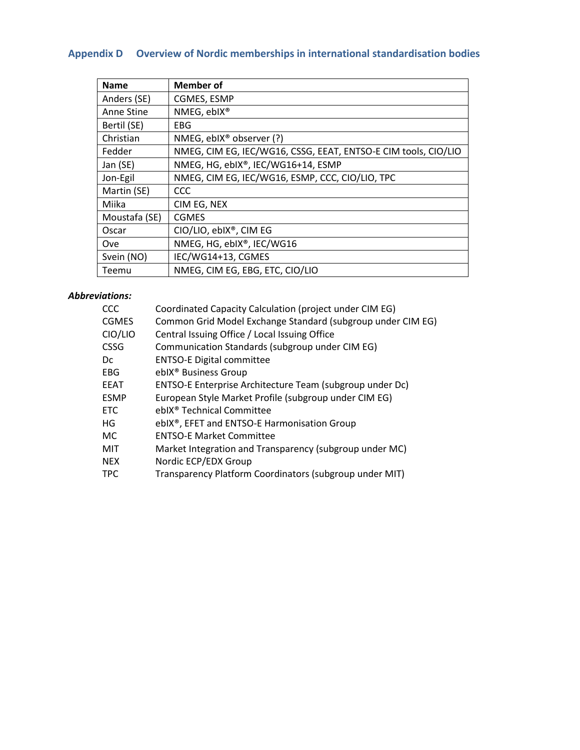# <span id="page-16-0"></span>**Appendix D Overview of Nordic memberships in international standardisation bodies**

| <b>Name</b>   | <b>Member of</b>                                               |
|---------------|----------------------------------------------------------------|
| Anders (SE)   | CGMES, ESMP                                                    |
| Anne Stine    | NMEG, eblX®                                                    |
| Bertil (SE)   | EBG.                                                           |
| Christian     | NMEG, eblX <sup>®</sup> observer (?)                           |
| Fedder        | NMEG, CIM EG, IEC/WG16, CSSG, EEAT, ENTSO-E CIM tools, CIO/LIO |
| Jan (SE)      | NMEG, HG, ebIX®, IEC/WG16+14, ESMP                             |
| Jon-Egil      | NMEG, CIM EG, IEC/WG16, ESMP, CCC, CIO/LIO, TPC                |
| Martin (SE)   | <b>CCC</b>                                                     |
| Miika         | CIM EG, NEX                                                    |
| Moustafa (SE) | <b>CGMES</b>                                                   |
| Oscar         | CIO/LIO, ebIX®, CIM EG                                         |
| Ove           | NMEG, HG, ebIX®, IEC/WG16                                      |
| Svein (NO)    | IEC/WG14+13, CGMES                                             |
| Teemu         | NMEG, CIM EG, EBG, ETC, CIO/LIO                                |

## *Abbreviations:*

| CCC          | Coordinated Capacity Calculation (project under CIM EG)     |
|--------------|-------------------------------------------------------------|
| <b>CGMES</b> | Common Grid Model Exchange Standard (subgroup under CIM EG) |
| CIO/LIO      | Central Issuing Office / Local Issuing Office               |
| <b>CSSG</b>  | Communication Standards (subgroup under CIM EG)             |
| Dc           | <b>ENTSO-E Digital committee</b>                            |
| EBG.         | ebIX <sup>®</sup> Business Group                            |
| <b>EEAT</b>  | ENTSO-E Enterprise Architecture Team (subgroup under Dc)    |
| <b>ESMP</b>  | European Style Market Profile (subgroup under CIM EG)       |
| <b>ETC</b>   | ebIX <sup>®</sup> Technical Committee                       |
| HG           | ebIX®, EFET and ENTSO-E Harmonisation Group                 |
| MC.          | <b>ENTSO-E Market Committee</b>                             |
| <b>MIT</b>   | Market Integration and Transparency (subgroup under MC)     |
| <b>NEX</b>   | Nordic ECP/EDX Group                                        |
| <b>TPC</b>   | Transparency Platform Coordinators (subgroup under MIT)     |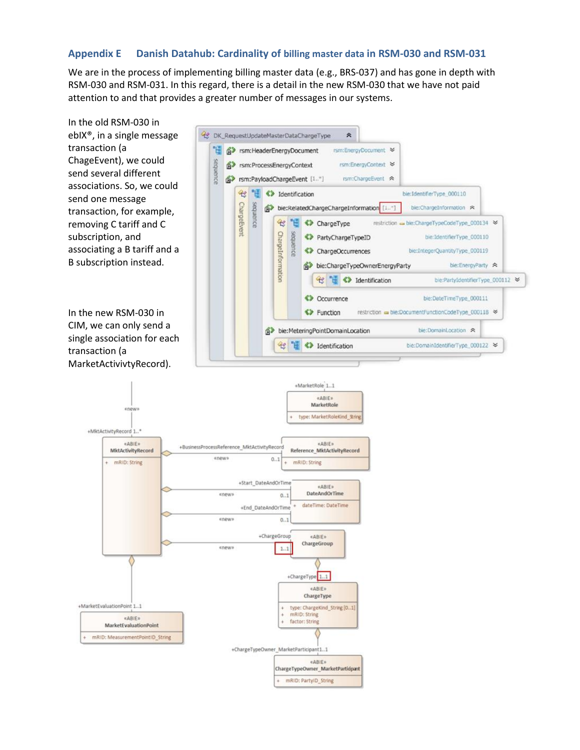## <span id="page-17-0"></span>**Appendix E Danish Datahub: Cardinality of billing master data in RSM-030 and RSM-031**

We are in the process of implementing billing master data (e.g., BRS-037) and has gone in depth with RSM-030 and RSM-031. In this regard, there is a detail in the new RSM-030 that we have not paid attention to and that provides a greater number of messages in our systems.

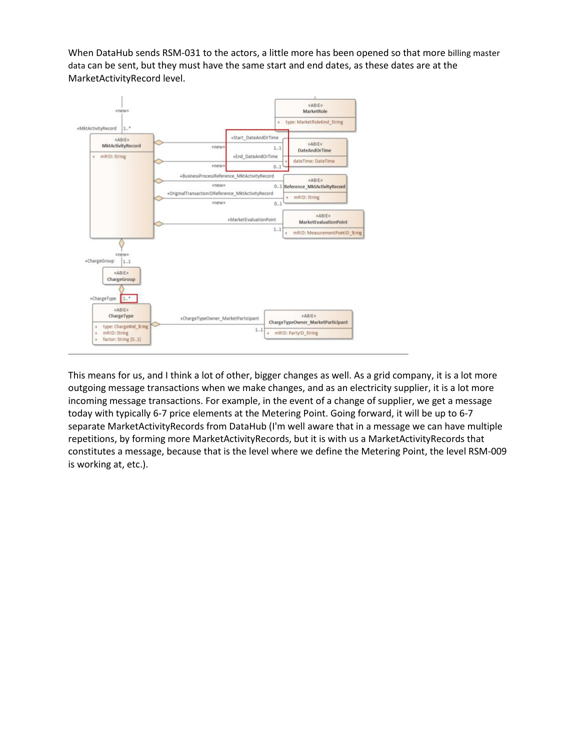When DataHub sends RSM-031 to the actors, a little more has been opened so that more billing master data can be sent, but they must have the same start and end dates, as these dates are at the MarketActivityRecord level.



This means for us, and I think a lot of other, bigger changes as well. As a grid company, it is a lot more outgoing message transactions when we make changes, and as an electricity supplier, it is a lot more incoming message transactions. For example, in the event of a change of supplier, we get a message today with typically 6-7 price elements at the Metering Point. Going forward, it will be up to 6-7 separate MarketActivityRecords from DataHub (I'm well aware that in a message we can have multiple repetitions, by forming more MarketActivityRecords, but it is with us a MarketActivityRecords that constitutes a message, because that is the level where we define the Metering Point, the level RSM-009 is working at, etc.).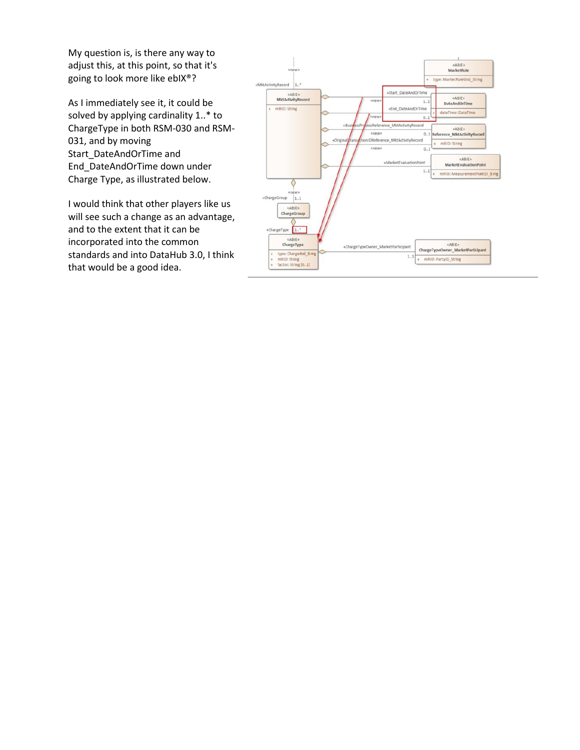My question is, is there any way to adjust this, at this point, so that it's going to look more like ebIX®?

As I immediately see it, it could be solved by applying cardinality 1..\* to ChargeType in both RSM-030 and RSM-031, and by moving Start\_DateAndOrTime and End\_DateAndOrTime down under Charge Type, as illustrated below.

I would think that other players like us will see such a change as an advantage, and to the extent that it can be incorporated into the common standards and into DataHub 3.0, I think that would be a good idea.

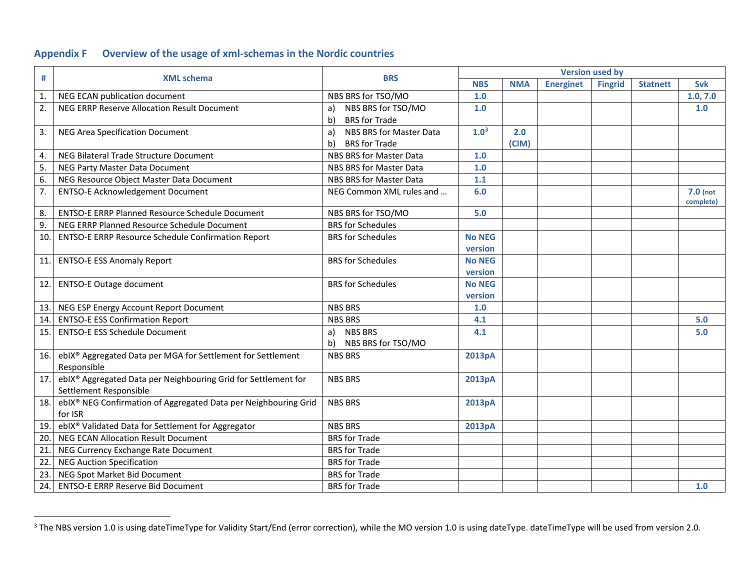## **Appendix F Overview of the usage of xml-schemas in the Nordic countries**

<span id="page-20-0"></span>

|                  |                                                                 | <b>BRS</b>                    | <b>Version used by</b> |            |                  |                |                 |            |
|------------------|-----------------------------------------------------------------|-------------------------------|------------------------|------------|------------------|----------------|-----------------|------------|
| #                | <b>XML schema</b>                                               |                               | <b>NBS</b>             | <b>NMA</b> | <b>Energinet</b> | <b>Fingrid</b> | <b>Statnett</b> | <b>Svk</b> |
| $\mathbf{1}$ .   | NEG ECAN publication document                                   | NBS BRS for TSO/MO            | 1.0                    |            |                  |                |                 | 1.0, 7.0   |
| 2.               | NEG ERRP Reserve Allocation Result Document                     | NBS BRS for TSO/MO<br>a)      | 1.0                    |            |                  |                |                 | 1.0        |
|                  |                                                                 | <b>BRS</b> for Trade<br>b)    |                        |            |                  |                |                 |            |
| 3.               | <b>NEG Area Specification Document</b>                          | NBS BRS for Master Data<br>a) | 1.0 <sup>3</sup>       | 2.0        |                  |                |                 |            |
|                  |                                                                 | b)<br><b>BRS</b> for Trade    |                        | (CIM)      |                  |                |                 |            |
| 4.               | NEG Bilateral Trade Structure Document                          | NBS BRS for Master Data       | 1.0                    |            |                  |                |                 |            |
| 5.               | NEG Party Master Data Document                                  | NBS BRS for Master Data       | 1.0                    |            |                  |                |                 |            |
| 6.               | NEG Resource Object Master Data Document                        | NBS BRS for Master Data       | $1.1$                  |            |                  |                |                 |            |
| $\overline{7}$ . | <b>ENTSO-E Acknowledgement Document</b>                         | NEG Common XML rules and      | 6.0                    |            |                  |                |                 | $7.0$ (not |
|                  |                                                                 |                               |                        |            |                  |                |                 | complete)  |
| 8.               | <b>ENTSO-E ERRP Planned Resource Schedule Document</b>          | NBS BRS for TSO/MO            | 5.0                    |            |                  |                |                 |            |
| 9.               | NEG ERRP Planned Resource Schedule Document                     | <b>BRS</b> for Schedules      |                        |            |                  |                |                 |            |
| 10.              | <b>ENTSO-E ERRP Resource Schedule Confirmation Report</b>       | <b>BRS</b> for Schedules      | <b>No NEG</b>          |            |                  |                |                 |            |
|                  |                                                                 |                               | version                |            |                  |                |                 |            |
| 11.              | <b>ENTSO-E ESS Anomaly Report</b>                               | <b>BRS</b> for Schedules      | <b>No NEG</b>          |            |                  |                |                 |            |
|                  |                                                                 |                               | version                |            |                  |                |                 |            |
| 12.              | <b>ENTSO-E Outage document</b>                                  | <b>BRS</b> for Schedules      | <b>No NEG</b>          |            |                  |                |                 |            |
|                  |                                                                 |                               | version                |            |                  |                |                 |            |
| 13.              | NEG ESP Energy Account Report Document                          | <b>NBS BRS</b>                | $1.0$                  |            |                  |                |                 |            |
| 14.              | <b>ENTSO-E ESS Confirmation Report</b>                          | <b>NBS BRS</b>                | 4.1                    |            |                  |                |                 | 5.0        |
| 15.              | <b>ENTSO-E ESS Schedule Document</b>                            | <b>NBS BRS</b><br>a)          | 4.1                    |            |                  |                |                 | 5.0        |
|                  |                                                                 | NBS BRS for TSO/MO<br>b)      |                        |            |                  |                |                 |            |
| 16.              | ebIX® Aggregated Data per MGA for Settlement for Settlement     | <b>NBS BRS</b>                | 2013pA                 |            |                  |                |                 |            |
|                  | Responsible                                                     |                               |                        |            |                  |                |                 |            |
| 17.              | ebIX® Aggregated Data per Neighbouring Grid for Settlement for  | <b>NBS BRS</b>                | 2013pA                 |            |                  |                |                 |            |
|                  | Settlement Responsible                                          |                               |                        |            |                  |                |                 |            |
| 18.              | ebIX® NEG Confirmation of Aggregated Data per Neighbouring Grid | <b>NBS BRS</b>                | 2013pA                 |            |                  |                |                 |            |
|                  | for ISR                                                         |                               |                        |            |                  |                |                 |            |
| 19.              | ebIX® Validated Data for Settlement for Aggregator              | <b>NBS BRS</b>                | 2013pA                 |            |                  |                |                 |            |
| 20.              | <b>NEG ECAN Allocation Result Document</b>                      | <b>BRS</b> for Trade          |                        |            |                  |                |                 |            |
| 21               | NEG Currency Exchange Rate Document                             | <b>BRS</b> for Trade          |                        |            |                  |                |                 |            |
| 22.              | <b>NEG Auction Specification</b>                                | <b>BRS</b> for Trade          |                        |            |                  |                |                 |            |
| 23.              | NEG Spot Market Bid Document                                    | <b>BRS</b> for Trade          |                        |            |                  |                |                 |            |
| 24.              | <b>ENTSO-E ERRP Reserve Bid Document</b>                        | <b>BRS</b> for Trade          |                        |            |                  |                |                 | 1.0        |

<sup>&</sup>lt;sup>3</sup> The NBS version 1.0 is using dateTimeType for Validity Start/End (error correction), while the MO version 1.0 is using dateType. dateTimeType will be used from version 2.0.